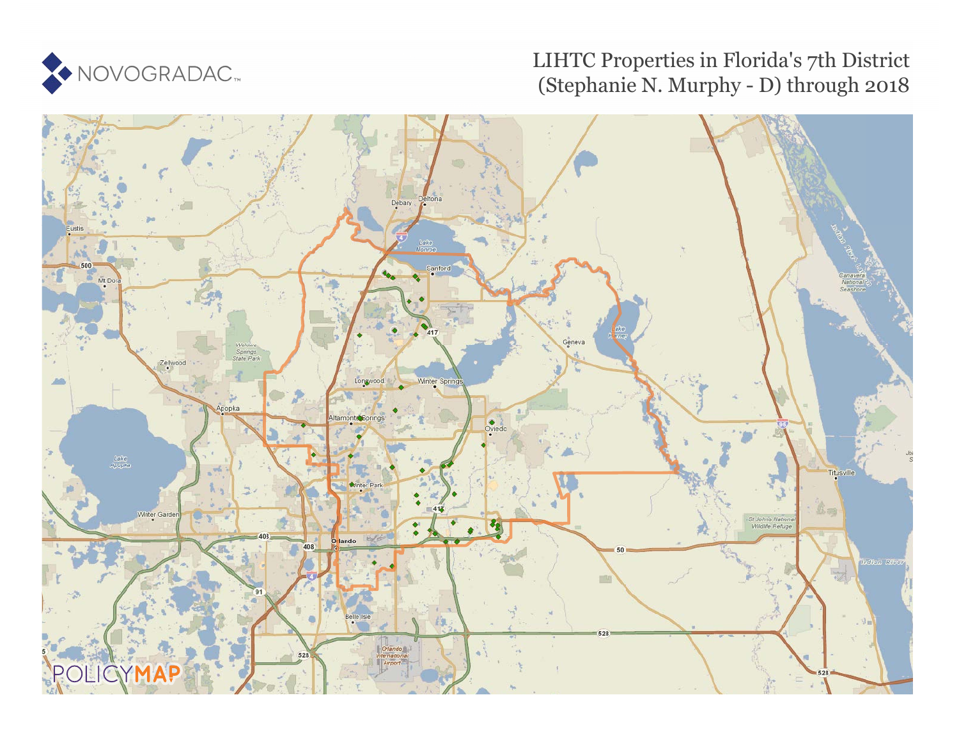

# LIHTC Properties in Florida's 7th District (Stephanie N. Murphy - D) through 2018

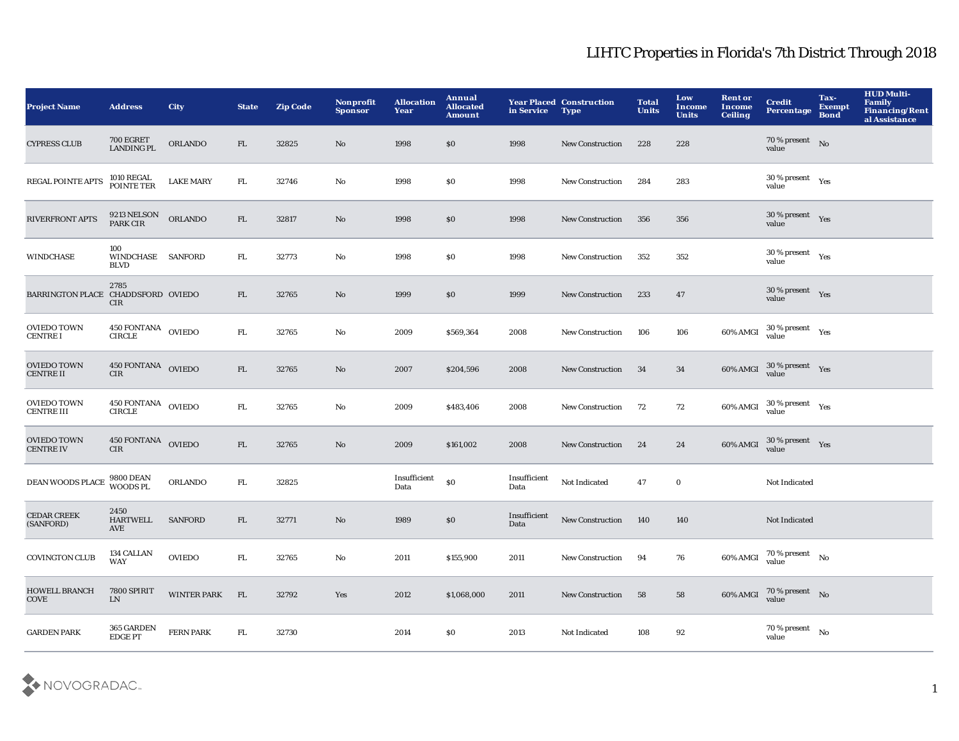| <b>Project Name</b>                     | <b>Address</b>                               | <b>City</b>        | <b>State</b> | <b>Zip Code</b> | Nonprofit<br><b>Sponsor</b> | <b>Allocation</b><br>Year | Annual<br><b>Allocated</b><br><b>Amount</b> | in Service           | <b>Year Placed Construction</b><br><b>Type</b> | <b>Total</b><br><b>Units</b> | Low<br>Income<br><b>Units</b> | <b>Rent or</b><br><b>Income</b><br>Ceiling | <b>Credit</b><br><b>Percentage</b>             | Tax-<br><b>Exempt</b><br><b>Bond</b> | <b>HUD Multi-</b><br>Family<br><b>Financing/Rent</b><br>al Assistance |
|-----------------------------------------|----------------------------------------------|--------------------|--------------|-----------------|-----------------------------|---------------------------|---------------------------------------------|----------------------|------------------------------------------------|------------------------------|-------------------------------|--------------------------------------------|------------------------------------------------|--------------------------------------|-----------------------------------------------------------------------|
| <b>CYPRESS CLUB</b>                     | 700 EGRET<br>LANDING PL                      | ORLANDO            | FL           | 32825           | No                          | 1998                      | $\$0$                                       | 1998                 | <b>New Construction</b>                        | 228                          | 228                           |                                            | 70 % present No<br>value                       |                                      |                                                                       |
| REGAL POINTE APTS                       | 1010 REGAL<br>POINTE TER                     | <b>LAKE MARY</b>   | FL.          | 32746           | No                          | 1998                      | \$0                                         | 1998                 | <b>New Construction</b>                        | 284                          | 283                           |                                            | $30\,\%$ present $\quad$ Yes<br>value          |                                      |                                                                       |
| <b>RIVERFRONT APTS</b>                  | 9213 NELSON<br>PARK CIR                      | ORLANDO            | FL           | 32817           | No                          | 1998                      | \$0                                         | 1998                 | <b>New Construction</b>                        | 356                          | 356                           |                                            | $30\,\%$ present $\quad$ Yes<br>value          |                                      |                                                                       |
| <b>WINDCHASE</b>                        | 100<br>WINDCHASE SANFORD<br><b>BLVD</b>      |                    | FL.          | 32773           | No                          | 1998                      | \$0                                         | 1998                 | <b>New Construction</b>                        | 352                          | 352                           |                                            | $30\,\%$ present $\quad$ $_{\rm Yes}$<br>value |                                      |                                                                       |
| BARRINGTON PLACE CHADDSFORD OVIEDO      | 2785<br><b>CIR</b>                           |                    | FL           | 32765           | No                          | 1999                      | \$0                                         | 1999                 | <b>New Construction</b>                        | 233                          | 47                            |                                            | 30 % present $Yes$<br>value                    |                                      |                                                                       |
| <b>OVIEDO TOWN</b><br><b>CENTRE I</b>   | $450$ FONTANA $\,$ OVIEDO $\,$ CIRCLE $\,$   |                    | ${\rm FL}$   | 32765           | No                          | 2009                      | \$569,364                                   | 2008                 | New Construction                               | 106                          | 106                           | 60% AMGI                                   | $30\,\%$ present $\quad$ Yes value             |                                      |                                                                       |
| <b>OVIEDO TOWN</b><br><b>CENTRE II</b>  | 450 FONTANA OVIEDO<br>CIR                    |                    | FL.          | 32765           | No                          | 2007                      | \$204,596                                   | 2008                 | <b>New Construction</b>                        | 34                           | 34                            | 60% AMGI                                   | $30\%$ present $Yes$                           |                                      |                                                                       |
| <b>OVIEDO TOWN</b><br><b>CENTRE III</b> | $450\,$ FONTANA $\,$ OVIEDO $\,$ CIRCLE $\,$ |                    | FL.          | 32765           | No                          | 2009                      | \$483,406                                   | 2008                 | <b>New Construction</b>                        | 72                           | 72                            | 60% AMGI                                   | $30\%$ present $Yes$                           |                                      |                                                                       |
| <b>OVIEDO TOWN</b><br><b>CENTRE IV</b>  | 450 FONTANA OVIEDO<br><b>CIR</b>             |                    | FL           | 32765           | No                          | 2009                      | \$161,002                                   | 2008                 | <b>New Construction</b>                        | 24                           | 24                            | 60% AMGI                                   | $30\,\%$ present $\quad$ Yes<br>value          |                                      |                                                                       |
| DEAN WOODS PLACE 9800 DEAN              |                                              | <b>ORLANDO</b>     | FL.          | 32825           |                             | Insufficient<br>Data      | $\$0$                                       | Insufficient<br>Data | Not Indicated                                  | 47                           | $\mathbf 0$                   |                                            | Not Indicated                                  |                                      |                                                                       |
| <b>CEDAR CREEK</b><br>(SANFORD)         | 2450<br><b>HARTWELL</b><br>AVE               | <b>SANFORD</b>     | FL.          | 32771           | No                          | 1989                      | \$0                                         | Insufficient<br>Data | <b>New Construction</b>                        | 140                          | 140                           |                                            | Not Indicated                                  |                                      |                                                                       |
| <b>COVINGTON CLUB</b>                   | $134\rm~CALLAN$<br><b>WAY</b>                | <b>OVIEDO</b>      | FL.          | 32765           | No                          | 2011                      | \$155,900                                   | 2011                 | <b>New Construction</b>                        | 94                           | 76                            | 60% AMGI                                   | $70\%$ present No<br>value                     |                                      |                                                                       |
| <b>HOWELL BRANCH</b><br><b>COVE</b>     | 7800 SPIRIT<br>${\rm LN}$                    | <b>WINTER PARK</b> | FL           | 32792           | Yes                         | 2012                      | \$1,068,000                                 | 2011                 | <b>New Construction</b>                        | 58                           | 58                            | 60% AMGI                                   | $70\%$ present No<br>value                     |                                      |                                                                       |
| <b>GARDEN PARK</b>                      | 365 GARDEN<br><b>EDGEPT</b>                  | FERN PARK          | ${\rm FL}$   | 32730           |                             | 2014                      | \$0                                         | 2013                 | Not Indicated                                  | 108                          | 92                            |                                            | 70 % present $N_0$<br>value                    |                                      |                                                                       |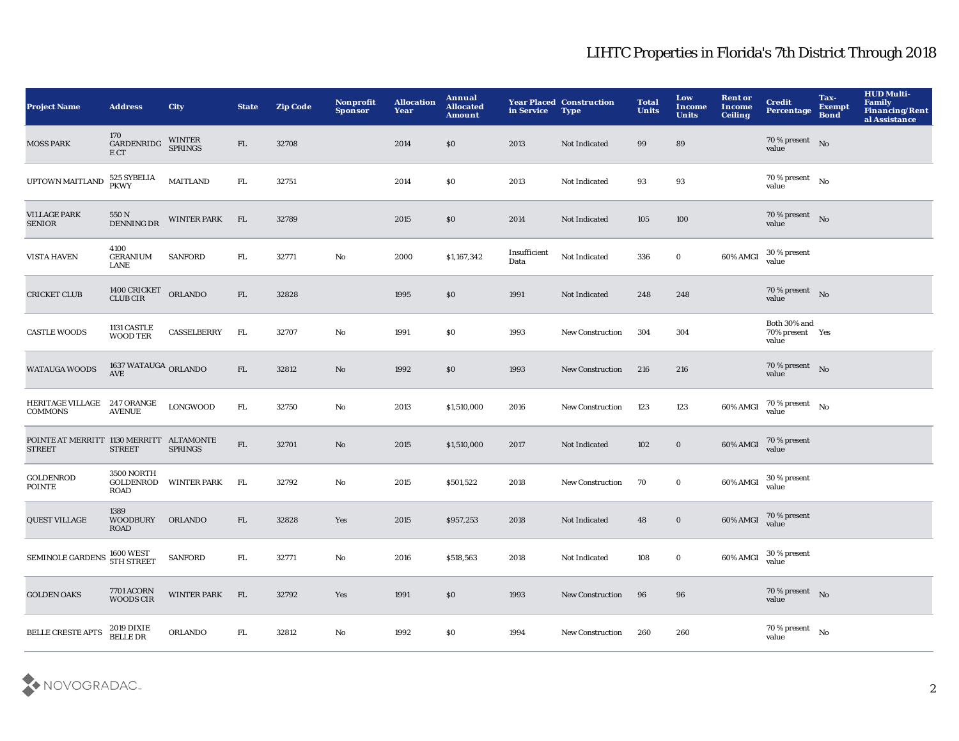| <b>Project Name</b>                                       | <b>Address</b>                         | <b>City</b>        | <b>State</b> | <b>Zip Code</b> | <b>Nonprofit</b><br><b>Sponsor</b> | <b>Allocation</b><br>Year | Annual<br><b>Allocated</b><br><b>Amount</b> | in Service Type      | <b>Year Placed Construction</b> | <b>Total</b><br><b>Units</b> | Low<br>Income<br><b>Units</b> | <b>Rent or</b><br><b>Income</b><br><b>Ceiling</b> | <b>Credit</b><br><b>Percentage</b>       | Tax-<br><b>Exempt</b><br><b>Bond</b> | <b>HUD Multi-</b><br>Family<br>Financing/Rent<br>al Assistance |
|-----------------------------------------------------------|----------------------------------------|--------------------|--------------|-----------------|------------------------------------|---------------------------|---------------------------------------------|----------------------|---------------------------------|------------------------------|-------------------------------|---------------------------------------------------|------------------------------------------|--------------------------------------|----------------------------------------------------------------|
| <b>MOSS PARK</b>                                          | 170<br>GARDENRIDG<br>E CT              | WINTER<br>SPRINGS  | FL           | 32708           |                                    | 2014                      | \$0                                         | 2013                 | Not Indicated                   | 99                           | 89                            |                                                   | 70 % present No<br>value                 |                                      |                                                                |
| UPTOWN MAITLAND                                           | 525 SYBELIA<br>PKWY                    | <b>MAITLAND</b>    | ${\rm FL}$   | 32751           |                                    | 2014                      | \$0                                         | 2013                 | Not Indicated                   | 93                           | 93                            |                                                   | 70 % present $\hbox{~No}$<br>value       |                                      |                                                                |
| <b>VILLAGE PARK</b><br><b>SENIOR</b>                      | 550 N<br>DENNING DR                    | <b>WINTER PARK</b> | FL           | 32789           |                                    | 2015                      | \$0                                         | 2014                 | Not Indicated                   | 105                          | 100                           |                                                   | 70 % present No<br>value                 |                                      |                                                                |
| <b>VISTA HAVEN</b>                                        | 4100<br><b>GERANIUM</b><br><b>LANE</b> | <b>SANFORD</b>     | ${\rm FL}$   | 32771           | No                                 | 2000                      | \$1,167,342                                 | Insufficient<br>Data | Not Indicated                   | 336                          | $\bf{0}$                      | 60% AMGI                                          | 30 % present<br>value                    |                                      |                                                                |
| <b>CRICKET CLUB</b>                                       | $1400$ CRICKET ORLANDO CLUB CIR        |                    | FL           | 32828           |                                    | 1995                      | \$0                                         | 1991                 | Not Indicated                   | 248                          | 248                           |                                                   | 70 % present No<br>value                 |                                      |                                                                |
| <b>CASTLE WOODS</b>                                       | 1131 CASTLE<br><b>WOOD TER</b>         | CASSELBERRY        | FL.          | 32707           | No                                 | 1991                      | \$0                                         | 1993                 | New Construction                | 304                          | 304                           |                                                   | Both 30% and<br>70% present Yes<br>value |                                      |                                                                |
| <b>WATAUGA WOODS</b>                                      | 1637 WATAUGA ORLANDO<br><b>AVE</b>     |                    | FL           | 32812           | No                                 | 1992                      | \$0                                         | 1993                 | <b>New Construction</b>         | 216                          | 216                           |                                                   | 70 % present $\quad$ No<br>value         |                                      |                                                                |
| HERITAGE VILLAGE 247 ORANGE<br><b>COMMONS</b>             | <b>AVENUE</b>                          | LONGWOOD           | FL.          | 32750           | No                                 | 2013                      | \$1,510,000                                 | 2016                 | New Construction                | 123                          | 123                           | 60% AMGI                                          | $70\%$ present No<br>value               |                                      |                                                                |
| POINTE AT MERRITT 1130 MERRITT ALTAMONTE<br><b>STREET</b> | <b>STREET</b>                          | <b>SPRINGS</b>     | ${\rm FL}$   | 32701           | No                                 | 2015                      | \$1,510,000                                 | 2017                 | Not Indicated                   | 102                          | $\mathbf 0$                   | 60% AMGI                                          | 70 % present<br>value                    |                                      |                                                                |
| <b>GOLDENROD</b><br><b>POINTE</b>                         | 3500 NORTH<br>GOLDENROD<br>ROAD        | <b>WINTER PARK</b> | FL.          | 32792           | $\mathbf {No}$                     | 2015                      | \$501,522                                   | 2018                 | <b>New Construction</b>         | 70                           | $\mathbf 0$                   | 60% AMGI                                          | 30 % present<br>value                    |                                      |                                                                |
| <b>QUEST VILLAGE</b>                                      | 1389<br><b>WOODBURY</b><br><b>ROAD</b> | <b>ORLANDO</b>     | FL.          | 32828           | Yes                                | 2015                      | \$957,253                                   | 2018                 | Not Indicated                   | 48                           | $\bf{0}$                      | 60% AMGI                                          | 70 % present<br>value                    |                                      |                                                                |
| SEMINOLE GARDENS                                          | 1600 WEST<br>5TH STREET                | <b>SANFORD</b>     | ${\rm FL}$   | 32771           | No                                 | 2016                      | \$518,563                                   | 2018                 | Not Indicated                   | 108                          | $\mathbf 0$                   | 60% AMGI                                          | 30 % present<br>value                    |                                      |                                                                |
| <b>GOLDEN OAKS</b>                                        | <b>7701 ACORN</b><br><b>WOODS CIR</b>  | <b>WINTER PARK</b> | FL           | 32792           | Yes                                | 1991                      | \$0                                         | 1993                 | <b>New Construction</b>         | 96                           | 96                            |                                                   | 70 % present $\quad$ No<br>value         |                                      |                                                                |
| <b>BELLE CRESTE APTS</b>                                  | 2019 DIXIE<br>BELLE DR                 | <b>ORLANDO</b>     | ${\rm FL}$   | 32812           | No                                 | 1992                      | \$0\$                                       | 1994                 | <b>New Construction</b>         | 260                          | 260                           |                                                   | $70\,\%$ present $$N\rm o$$<br>value     |                                      |                                                                |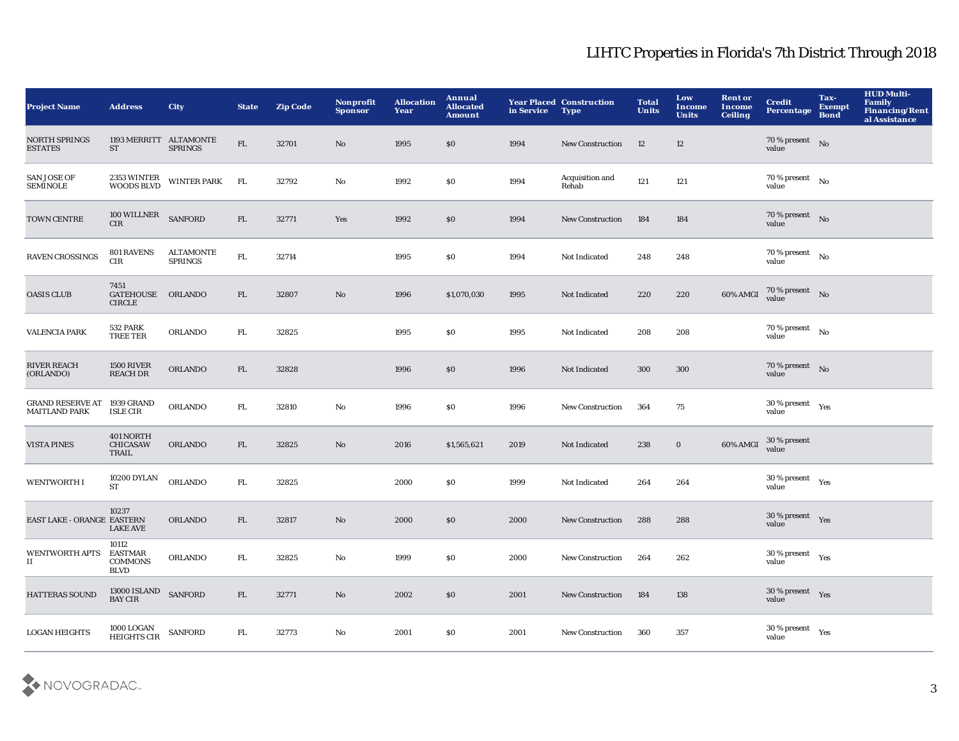| <b>Project Name</b>                                 | <b>Address</b>                                           | <b>City</b>                 | <b>State</b> | <b>Zip Code</b> | Nonprofit<br><b>Sponsor</b> | <b>Allocation</b><br>Year | <b>Annual</b><br><b>Allocated</b><br><b>Amount</b> | in Service Type | <b>Year Placed Construction</b> | <b>Total</b><br><b>Units</b> | Low<br>Income<br><b>Units</b> | <b>Rent or</b><br><b>Income</b><br><b>Ceiling</b> | <b>Credit</b><br><b>Percentage</b>             | Tax-<br>Exempt<br><b>Bond</b> | <b>HUD Multi-</b><br>Family<br>Financing/Rent<br>al Assistance |
|-----------------------------------------------------|----------------------------------------------------------|-----------------------------|--------------|-----------------|-----------------------------|---------------------------|----------------------------------------------------|-----------------|---------------------------------|------------------------------|-------------------------------|---------------------------------------------------|------------------------------------------------|-------------------------------|----------------------------------------------------------------|
| NORTH SPRINGS<br><b>ESTATES</b>                     | 1193 MERRITT ALTAMONTE<br>ST                             | <b>SPRINGS</b>              | ${\rm FL}$   | 32701           | No                          | 1995                      | \$0                                                | 1994            | <b>New Construction</b>         | 12                           | 12                            |                                                   | $70\,\%$ present No<br>value                   |                               |                                                                |
| <b>SAN JOSE OF</b><br><b>SEMINOLE</b>               | 2353 WINTER<br>WOODS BLVD                                | <b>WINTER PARK</b>          | FL           | 32792           | No                          | 1992                      | \$0\$                                              | 1994            | <b>Acquisition and</b><br>Rehab | 121                          | 121                           |                                                   | $70\,\%$ present $\quad$ No<br>value           |                               |                                                                |
| TOWN CENTRE                                         | 100 WILLNER SANFORD<br>CIR                               |                             | FL           | 32771           | Yes                         | 1992                      | \$0                                                | 1994            | <b>New Construction</b>         | 184                          | 184                           |                                                   | 70 % present No<br>value                       |                               |                                                                |
| <b>RAVEN CROSSINGS</b>                              | <b>801 RAVENS</b><br>CIR                                 | ALTAMONTE<br><b>SPRINGS</b> | ${\rm FL}$   | 32714           |                             | 1995                      | S <sub>0</sub>                                     | 1994            | Not Indicated                   | 248                          | 248                           |                                                   | 70 % present $$N{\rm o}$$<br>value             |                               |                                                                |
| <b>OASIS CLUB</b>                                   | 7451<br>GATEHOUSE ORLANDO<br><b>CIRCLE</b>               |                             | FL           | 32807           | No                          | 1996                      | \$1,070,030                                        | 1995            | Not Indicated                   | 220                          | 220                           | 60% AMGI                                          | 70 % present No<br>value                       |                               |                                                                |
| <b>VALENCIA PARK</b>                                | <b>532 PARK</b><br>TREE TER                              | <b>ORLANDO</b>              | FL.          | 32825           |                             | 1995                      | \$0\$                                              | 1995            | Not Indicated                   | 208                          | 208                           |                                                   | 70 % present $\hbox{~No}$<br>value             |                               |                                                                |
| <b>RIVER REACH</b><br>(ORLANDO)                     | <b>1500 RIVER</b><br><b>REACH DR</b>                     | ORLANDO                     | FL           | 32828           |                             | 1996                      | $\$0$                                              | 1996            | Not Indicated                   | 300                          | 300                           |                                                   | 70 % present $\hbox{No}$<br>value              |                               |                                                                |
| GRAND RESERVE AT 1939 GRAND<br><b>MAITLAND PARK</b> | <b>ISLE CIR</b>                                          | ORLANDO                     | ${\rm FL}$   | 32810           | $\mathbf {No}$              | 1996                      | \$0\$                                              | 1996            | <b>New Construction</b>         | 364                          | 75                            |                                                   | $30\,\%$ present $\quad$ Yes<br>value          |                               |                                                                |
| <b>VISTA PINES</b>                                  | 401 NORTH<br><b>CHICASAW</b><br>TRAIL                    | <b>ORLANDO</b>              | FL.          | 32825           | No                          | 2016                      | \$1,565,621                                        | 2019            | Not Indicated                   | 238                          | $\bf{0}$                      | 60% AMGI                                          | 30 % present<br>value                          |                               |                                                                |
| <b>WENTWORTH I</b>                                  | 10200 DYLAN<br><b>ST</b>                                 | <b>ORLANDO</b>              | ${\rm FL}$   | 32825           |                             | 2000                      | \$0\$                                              | 1999            | Not Indicated                   | 264                          | 264                           |                                                   | $30\,\%$ present $\quad$ $_{\rm Yes}$<br>value |                               |                                                                |
| EAST LAKE - ORANGE EASTERN                          | 10237<br><b>LAKE AVE</b>                                 | <b>ORLANDO</b>              | FL           | 32817           | No                          | 2000                      | \$0                                                | 2000            | <b>New Construction</b>         | 288                          | 288                           |                                                   | $30\,\%$ present $\quad$ Yes<br>value          |                               |                                                                |
| <b>WENTWORTH APTS</b><br>$\mathbf{H}$               | 10112<br><b>EASTMAR</b><br><b>COMMONS</b><br><b>BLVD</b> | <b>ORLANDO</b>              | FL.          | 32825           | No                          | 1999                      | \$0\$                                              | 2000            | <b>New Construction</b>         | 264                          | 262                           |                                                   | $30\,\%$ present $\quad$ Yes<br>value          |                               |                                                                |
| HATTERAS SOUND                                      | 13000 ISLAND SANFORD<br><b>BAY CIR</b>                   |                             | FL           | 32771           | No                          | 2002                      | \$0                                                | 2001            | <b>New Construction</b>         | 184                          | 138                           |                                                   | $30\,\%$ present $\quad$ Yes<br>value          |                               |                                                                |
| <b>LOGAN HEIGHTS</b>                                | 1000 LOGAN<br>HEIGHTS CIR                                | <b>SANFORD</b>              | FL.          | 32773           | No                          | 2001                      | \$0\$                                              | 2001            | <b>New Construction</b>         | 360                          | 357                           |                                                   | $30\,\%$ present $\quad$ $_{\rm Yes}$<br>value |                               |                                                                |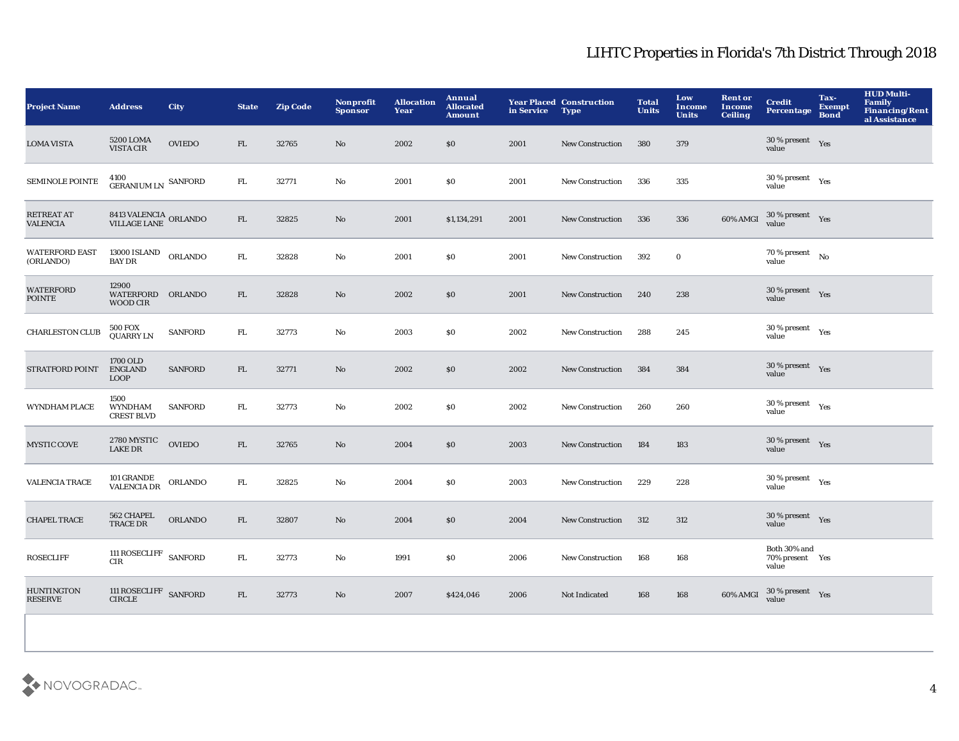| <b>Project Name</b>                  | <b>Address</b>                                  | <b>City</b>    | <b>State</b> | <b>Zip Code</b> | Nonprofit<br><b>Sponsor</b> | <b>Allocation</b><br>Year | Annual<br><b>Allocated</b><br><b>Amount</b> | in Service Type | <b>Year Placed Construction</b> | <b>Total</b><br><b>Units</b> | Low<br><b>Income</b><br><b>Units</b> | <b>Rent or</b><br><b>Income</b><br><b>Ceiling</b> | <b>Credit</b><br><b>Percentage</b>             | Tax-<br><b>Exempt</b><br><b>Bond</b> | <b>HUD Multi-</b><br>Family<br>Financing/Rent<br>al Assistance |
|--------------------------------------|-------------------------------------------------|----------------|--------------|-----------------|-----------------------------|---------------------------|---------------------------------------------|-----------------|---------------------------------|------------------------------|--------------------------------------|---------------------------------------------------|------------------------------------------------|--------------------------------------|----------------------------------------------------------------|
| <b>LOMA VISTA</b>                    | 5200 LOMA<br>VISTA CIR                          | <b>OVIEDO</b>  | FL.          | 32765           | No                          | 2002                      | \$0                                         | 2001            | <b>New Construction</b>         | 380                          | 379                                  |                                                   | $30\,\%$ present $\quad$ Yes<br>value          |                                      |                                                                |
| <b>SEMINOLE POINTE</b>               | 4100<br>GERANIUM LN SANFORD                     |                | ${\rm FL}$   | 32771           | No                          | 2001                      | \$0\$                                       | 2001            | <b>New Construction</b>         | 336                          | 335                                  |                                                   | $30\,\%$ present $\quad$ Yes<br>value          |                                      |                                                                |
| <b>RETREAT AT</b><br><b>VALENCIA</b> | 8413 VALENCIA ORLANDO<br>VILLAGE LANE ORLANDO   |                | FL           | 32825           | No                          | 2001                      | \$1,134,291                                 | 2001            | <b>New Construction</b>         | 336                          | 336                                  | 60% AMGI                                          | $30\,\%$ present $\quad$ Yes value             |                                      |                                                                |
| <b>WATERFORD EAST</b><br>(ORLANDO)   | $13000$ ISLAND $\quad$ ORLANDO<br><b>BAY DR</b> |                | ${\rm FL}$   | 32828           | No                          | 2001                      | \$0                                         | 2001            | New Construction                | 392                          | $\bf{0}$                             |                                                   | 70 % present $\;\;$ No<br>value                |                                      |                                                                |
| <b>WATERFORD</b><br><b>POINTE</b>    | 12900<br>WATERFORD ORLANDO<br><b>WOOD CIR</b>   |                | FL           | 32828           | No                          | 2002                      | \$0                                         | 2001            | <b>New Construction</b>         | 240                          | 238                                  |                                                   | $30\,\%$ present $\quad$ Yes<br>value          |                                      |                                                                |
| <b>CHARLESTON CLUB</b>               | <b>500 FOX</b><br><b>QUARRY LN</b>              | <b>SANFORD</b> | ${\rm FL}$   | 32773           | No                          | 2003                      | \$0\$                                       | 2002            | <b>New Construction</b>         | 288                          | 245                                  |                                                   | $30\,\%$ present $\quad$ $_{\rm Yes}$<br>value |                                      |                                                                |
| STRATFORD POINT                      | 1700 OLD<br><b>ENGLAND</b><br><b>LOOP</b>       | <b>SANFORD</b> | FL.          | 32771           | No                          | 2002                      | \$0                                         | 2002            | <b>New Construction</b>         | 384                          | 384                                  |                                                   | $30\,\%$ present $\quad$ Yes<br>value          |                                      |                                                                |
| <b>WYNDHAM PLACE</b>                 | 1500<br><b>WYNDHAM</b><br><b>CREST BLVD</b>     | <b>SANFORD</b> | ${\rm FL}$   | 32773           | $\mathbf {No}$              | 2002                      | \$0\$                                       | 2002            | <b>New Construction</b>         | 260                          | 260                                  |                                                   | $30\,\%$ present $\quad$ Yes<br>value          |                                      |                                                                |
| <b>MYSTIC COVE</b>                   | 2780 MYSTIC<br><b>LAKE DR</b>                   | <b>OVIEDO</b>  | FL           | 32765           | No                          | 2004                      | \$0                                         | 2003            | <b>New Construction</b>         | 184                          | 183                                  |                                                   | 30 % present Yes<br>value                      |                                      |                                                                |
| VALENCIA TRACE                       | 101 GRANDE<br>VALENCIA DR                       | <b>ORLANDO</b> | ${\rm FL}$   | 32825           | No                          | 2004                      | \$0\$                                       | 2003            | <b>New Construction</b>         | 229                          | 228                                  |                                                   | $30$ % present $\quad$ $_{\rm Yes}$<br>value   |                                      |                                                                |
| <b>CHAPEL TRACE</b>                  | 562 CHAPEL<br><b>TRACE DR</b>                   | <b>ORLANDO</b> | ${\rm FL}$   | 32807           | No                          | 2004                      | \$0                                         | 2004            | <b>New Construction</b>         | 312                          | 312                                  |                                                   | 30 % present $Yes$<br>value                    |                                      |                                                                |
| <b>ROSECLIFF</b>                     | 111 ROSECLIFF SANFORD<br><b>CIR</b>             |                | FL.          | 32773           | No                          | 1991                      | \$0\$                                       | 2006            | <b>New Construction</b>         | 168                          | 168                                  |                                                   | Both 30% and<br>70% present Yes<br>value       |                                      |                                                                |
| <b>HUNTINGTON</b><br><b>RESERVE</b>  | $\,$ 111 ROSECLIFF $\,$ SANFORD CIRCLE          |                | FL           | 32773           | No                          | 2007                      | \$424,046                                   | 2006            | Not Indicated                   | 168                          | 168                                  | 60% AMGI                                          | $30\,\%$ present $\quad$ Yes value             |                                      |                                                                |